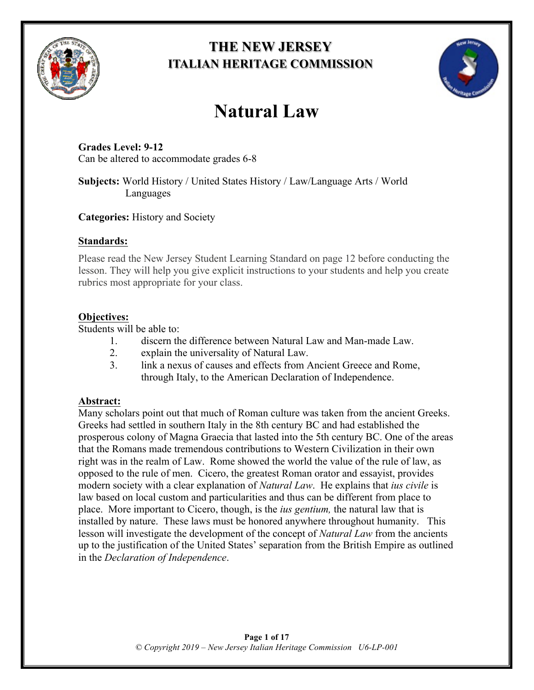

# **THE NEW JERSEY ITALIAN HERITAGE COMMISSION**



# **Natural Law**

### **Grades Level: 9-12** Can be altered to accommodate grades 6-8

### **Subjects:** World History / United States History / Law/Language Arts / World Languages

### **Categories:** History and Society

### **Standards:**

Please read the New Jersey Student Learning Standard on page 12 before conducting the lesson. They will help you give explicit instructions to your students and help you create rubrics most appropriate for your class.

# **Objectives:**

Students will be able to:

- 1. discern the difference between Natural Law and Man-made Law.
- 2. explain the universality of Natural Law.
- 3. link a nexus of causes and effects from Ancient Greece and Rome, through Italy, to the American Declaration of Independence.

# **Abstract:**

Many scholars point out that much of Roman culture was taken from the ancient Greeks. Greeks had settled in southern Italy in the 8th century BC and had established the prosperous colony of Magna Graecia that lasted into the 5th century BC. One of the areas that the Romans made tremendous contributions to Western Civilization in their own right was in the realm of Law. Rome showed the world the value of the rule of law, as opposed to the rule of men. Cicero, the greatest Roman orator and essayist, provides modern society with a clear explanation of *Natural Law*. He explains that *ius civile* is law based on local custom and particularities and thus can be different from place to place. More important to Cicero, though, is the *ius gentium,* the natural law that is installed by nature. These laws must be honored anywhere throughout humanity. This lesson will investigate the development of the concept of *Natural Law* from the ancients up to the justification of the United States' separation from the British Empire as outlined in the *Declaration of Independence*.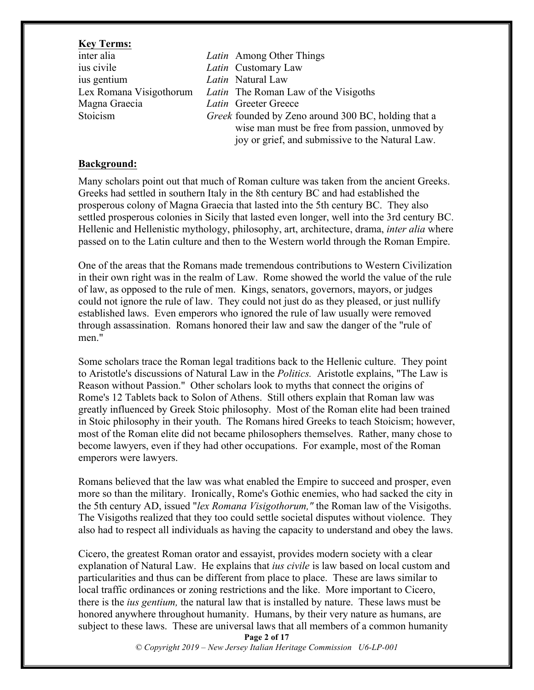#### **Key Terms:**

ius civile *Latin* Customary Law ius gentium *Latin* Natural Law Magna Graecia *Latin* Greeter Greece

inter alia *Latin* Among Other Things Lex Romana Visigothorum *Latin* The Roman Law of the Visigoths Stoicism *Greek* founded by Zeno around 300 BC, holding that a wise man must be free from passion, unmoved by joy or grief, and submissive to the Natural Law.

#### **Background:**

Many scholars point out that much of Roman culture was taken from the ancient Greeks. Greeks had settled in southern Italy in the 8th century BC and had established the prosperous colony of Magna Graecia that lasted into the 5th century BC. They also settled prosperous colonies in Sicily that lasted even longer, well into the 3rd century BC. Hellenic and Hellenistic mythology, philosophy, art, architecture, drama, *inter alia* where passed on to the Latin culture and then to the Western world through the Roman Empire.

One of the areas that the Romans made tremendous contributions to Western Civilization in their own right was in the realm of Law. Rome showed the world the value of the rule of law, as opposed to the rule of men. Kings, senators, governors, mayors, or judges could not ignore the rule of law. They could not just do as they pleased, or just nullify established laws. Even emperors who ignored the rule of law usually were removed through assassination. Romans honored their law and saw the danger of the "rule of men<sup>"</sup>

Some scholars trace the Roman legal traditions back to the Hellenic culture. They point to Aristotle's discussions of Natural Law in the *Politics.* Aristotle explains, "The Law is Reason without Passion." Other scholars look to myths that connect the origins of Rome's 12 Tablets back to Solon of Athens. Still others explain that Roman law was greatly influenced by Greek Stoic philosophy. Most of the Roman elite had been trained in Stoic philosophy in their youth. The Romans hired Greeks to teach Stoicism; however, most of the Roman elite did not became philosophers themselves. Rather, many chose to become lawyers, even if they had other occupations. For example, most of the Roman emperors were lawyers.

Romans believed that the law was what enabled the Empire to succeed and prosper, even more so than the military. Ironically, Rome's Gothic enemies, who had sacked the city in the 5th century AD, issued "*lex Romana Visigothorum,"* the Roman law of the Visigoths. The Visigoths realized that they too could settle societal disputes without violence. They also had to respect all individuals as having the capacity to understand and obey the laws.

Cicero, the greatest Roman orator and essayist, provides modern society with a clear explanation of Natural Law. He explains that *ius civile* is law based on local custom and particularities and thus can be different from place to place. These are laws similar to local traffic ordinances or zoning restrictions and the like. More important to Cicero, there is the *ius gentium,* the natural law that is installed by nature. These laws must be honored anywhere throughout humanity. Humans, by their very nature as humans, are subject to these laws. These are universal laws that all members of a common humanity

**Page 2 of 17**

*© Copyright 2019 – New Jersey Italian Heritage Commission U6-LP-001*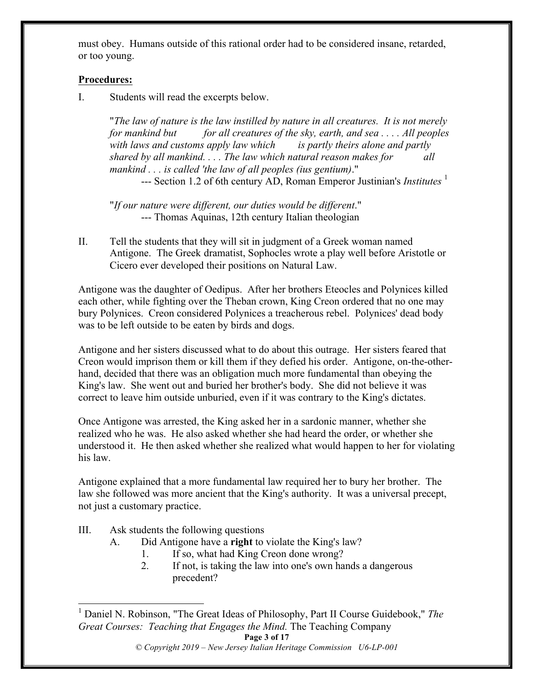must obey. Humans outside of this rational order had to be considered insane, retarded, or too young.

#### **Procedures:**

I. Students will read the excerpts below.

"*The law of nature is the law instilled by nature in all creatures. It is not merely for mankind but for all creatures of the sky, earth, and sea . . . . All peoples with laws and customs apply law which is partly theirs alone and partly shared by all mankind. . . . The law which natural reason makes for all mankind . . . is called 'the law of all peoples (ius gentium)*." --- Section 1.2 of 6th century AD, Roman Emperor Justinian's *Institutes* <sup>1</sup>

"*If our nature were different, our duties would be different*." --- Thomas Aquinas, 12th century Italian theologian

II. Tell the students that they will sit in judgment of a Greek woman named Antigone. The Greek dramatist, Sophocles wrote a play well before Aristotle or Cicero ever developed their positions on Natural Law.

Antigone was the daughter of Oedipus. After her brothers Eteocles and Polynices killed each other, while fighting over the Theban crown, King Creon ordered that no one may bury Polynices. Creon considered Polynices a treacherous rebel. Polynices' dead body was to be left outside to be eaten by birds and dogs.

Antigone and her sisters discussed what to do about this outrage. Her sisters feared that Creon would imprison them or kill them if they defied his order. Antigone, on-the-otherhand, decided that there was an obligation much more fundamental than obeying the King's law. She went out and buried her brother's body. She did not believe it was correct to leave him outside unburied, even if it was contrary to the King's dictates.

Once Antigone was arrested, the King asked her in a sardonic manner, whether she realized who he was. He also asked whether she had heard the order, or whether she understood it. He then asked whether she realized what would happen to her for violating his law.

Antigone explained that a more fundamental law required her to bury her brother. The law she followed was more ancient that the King's authority. It was a universal precept, not just a customary practice.

- III. Ask students the following questions
	- A. Did Antigone have a **right** to violate the King's law?
		- 1. If so, what had King Creon done wrong?
		- 2. If not, is taking the law into one's own hands a dangerous precedent?

 1 Daniel N. Robinson, "The Great Ideas of Philosophy, Part II Course Guidebook," *The Great Courses: Teaching that Engages the Mind.* The Teaching Company

*<sup>©</sup> Copyright 2019 – New Jersey Italian Heritage Commission U6-LP-001*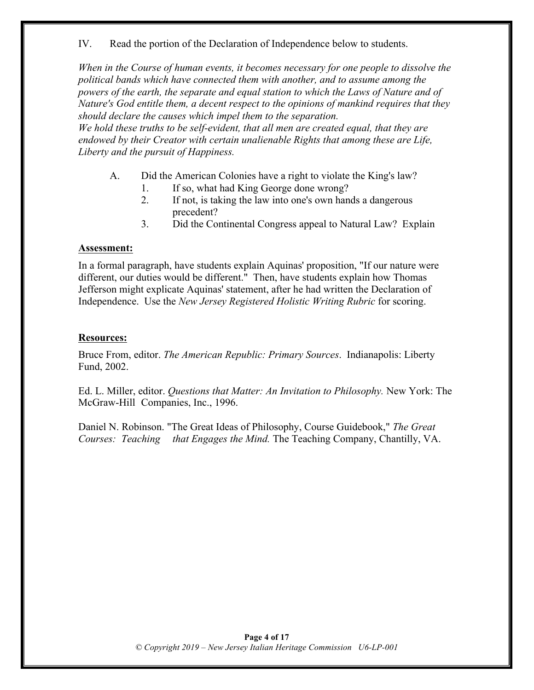IV. Read the portion of the Declaration of Independence below to students.

*When in the Course of human events, it becomes necessary for one people to dissolve the political bands which have connected them with another, and to assume among the powers of the earth, the separate and equal station to which the Laws of Nature and of Nature's God entitle them, a decent respect to the opinions of mankind requires that they should declare the causes which impel them to the separation.* 

*We hold these truths to be self-evident, that all men are created equal, that they are endowed by their Creator with certain unalienable Rights that among these are Life, Liberty and the pursuit of Happiness.*

- A. Did the American Colonies have a right to violate the King's law?
	- 1. If so, what had King George done wrong?
	- 2. If not, is taking the law into one's own hands a dangerous precedent?
	- 3. Did the Continental Congress appeal to Natural Law? Explain

#### **Assessment:**

In a formal paragraph, have students explain Aquinas' proposition, "If our nature were different, our duties would be different." Then, have students explain how Thomas Jefferson might explicate Aquinas' statement, after he had written the Declaration of Independence. Use the *New Jersey Registered Holistic Writing Rubric* for scoring.

#### **Resources:**

Bruce From, editor. *The American Republic: Primary Sources*. Indianapolis: Liberty Fund, 2002.

Ed. L. Miller, editor. *Questions that Matter: An Invitation to Philosophy.* New York: The McGraw-Hill Companies, Inc., 1996.

Daniel N. Robinson. "The Great Ideas of Philosophy, Course Guidebook," *The Great Courses: Teaching that Engages the Mind.* The Teaching Company, Chantilly, VA.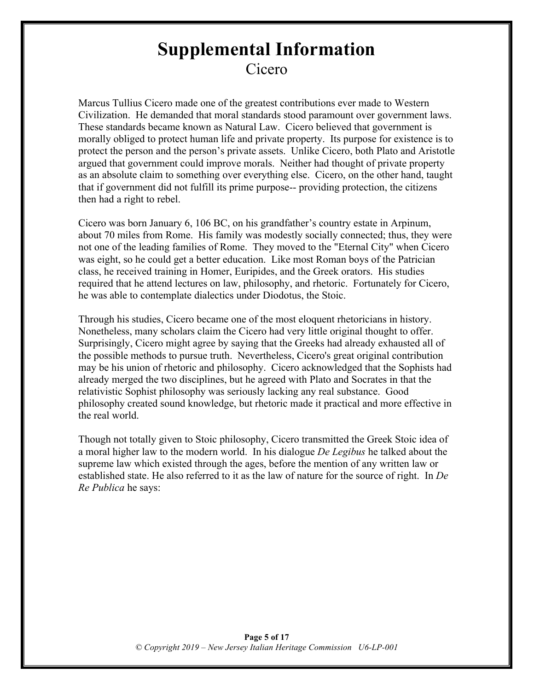# **Supplemental Information** Cicero

Marcus Tullius Cicero made one of the greatest contributions ever made to Western Civilization. He demanded that moral standards stood paramount over government laws. These standards became known as Natural Law. Cicero believed that government is morally obliged to protect human life and private property. Its purpose for existence is to protect the person and the person's private assets. Unlike Cicero, both Plato and Aristotle argued that government could improve morals. Neither had thought of private property as an absolute claim to something over everything else. Cicero, on the other hand, taught that if government did not fulfill its prime purpose-- providing protection, the citizens then had a right to rebel.

Cicero was born January 6, 106 BC, on his grandfather's country estate in Arpinum, about 70 miles from Rome. His family was modestly socially connected; thus, they were not one of the leading families of Rome. They moved to the "Eternal City" when Cicero was eight, so he could get a better education. Like most Roman boys of the Patrician class, he received training in Homer, Euripides, and the Greek orators. His studies required that he attend lectures on law, philosophy, and rhetoric. Fortunately for Cicero, he was able to contemplate dialectics under Diodotus, the Stoic.

Through his studies, Cicero became one of the most eloquent rhetoricians in history. Nonetheless, many scholars claim the Cicero had very little original thought to offer. Surprisingly, Cicero might agree by saying that the Greeks had already exhausted all of the possible methods to pursue truth. Nevertheless, Cicero's great original contribution may be his union of rhetoric and philosophy. Cicero acknowledged that the Sophists had already merged the two disciplines, but he agreed with Plato and Socrates in that the relativistic Sophist philosophy was seriously lacking any real substance. Good philosophy created sound knowledge, but rhetoric made it practical and more effective in the real world.

Though not totally given to Stoic philosophy, Cicero transmitted the Greek Stoic idea of a moral higher law to the modern world. In his dialogue *De Legibus* he talked about the supreme law which existed through the ages, before the mention of any written law or established state. He also referred to it as the law of nature for the source of right. In *De Re Publica* he says: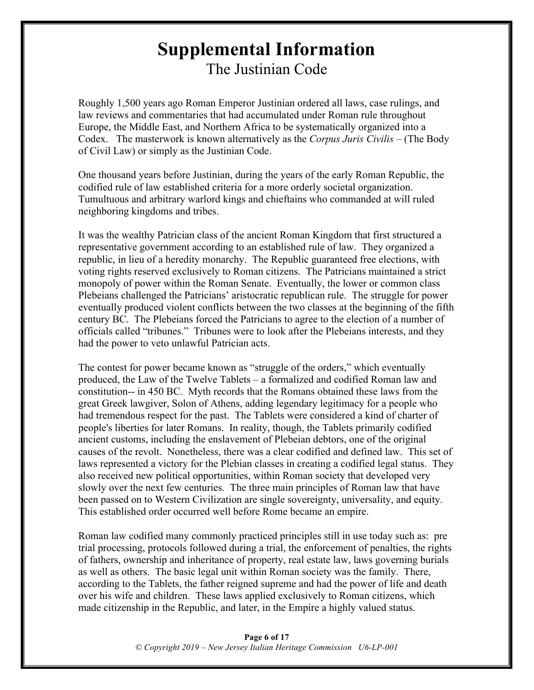# **Supplemental Information** The Justinian Code

Roughly 1,500 years ago Roman Emperor Justinian ordered all laws, case rulings, and law reviews and commentaries that had accumulated under Roman rule throughout Europe, the Middle East, and Northern Africa to be systematically organized into a Codex. The masterwork is known alternatively as the *Corpus Juris Civilis* – (The Body of Civil Law) or simply as the Justinian Code.

One thousand years before Justinian, during the years of the early Roman Republic, the codified rule of law established criteria for a more orderly societal organization. Tumultuous and arbitrary warlord kings and chieftains who commanded at will ruled neighboring kingdoms and tribes.

It was the wealthy Patrician class of the ancient Roman Kingdom that first structured a representative government according to an established rule of law. They organized a republic, in lieu of a heredity monarchy. The Republic guaranteed free elections, with voting rights reserved exclusively to Roman citizens. The Patricians maintained a strict monopoly of power within the Roman Senate. Eventually, the lower or common class Plebeians challenged the Patricians' aristocratic republican rule. The struggle for power eventually produced violent conflicts between the two classes at the beginning of the fifth century BC. The Plebeians forced the Patricians to agree to the election of a number of officials called "tribunes." Tribunes were to look after the Plebeians interests, and they had the power to veto unlawful Patrician acts.

The contest for power became known as "struggle of the orders," which eventually produced, the Law of the Twelve Tablets – a formalized and codified Roman law and constitution-- in 450 BC. Myth records that the Romans obtained these laws from the great Greek lawgiver, Solon of Athens, adding legendary legitimacy for a people who had tremendous respect for the past. The Tablets were considered a kind of charter of people's liberties for later Romans. In reality, though, the Tablets primarily codified ancient customs, including the enslavement of Plebeian debtors, one of the original causes of the revolt. Nonetheless, there was a clear codified and defined law. This set of laws represented a victory for the Plebian classes in creating a codified legal status. They also received new political opportunities, within Roman society that developed very slowly over the next few centuries. The three main principles of Roman law that have been passed on to Western Civilization are single sovereignty, universality, and equity. This established order occurred well before Rome became an empire.

Roman law codified many commonly practiced principles still in use today such as: pre trial processing, protocols followed during a trial, the enforcement of penalties, the rights of fathers, ownership and inheritance of property, real estate law, laws governing burials as well as others. The basic legal unit within Roman society was the family. There, according to the Tablets, the father reigned supreme and had the power of life and death over his wife and children. These laws applied exclusively to Roman citizens, which made citizenship in the Republic, and later, in the Empire a highly valued status.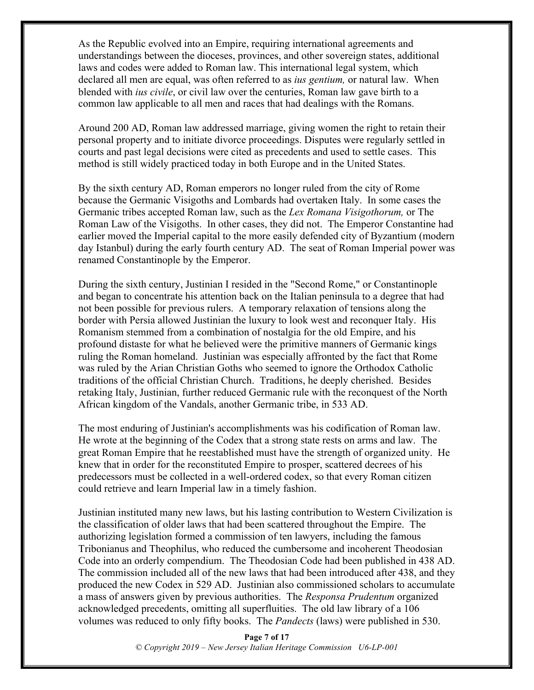As the Republic evolved into an Empire, requiring international agreements and understandings between the dioceses, provinces, and other sovereign states, additional laws and codes were added to Roman law. This international legal system, which declared all men are equal, was often referred to as *ius gentium,* or natural law. When blended with *ius civile*, or civil law over the centuries, Roman law gave birth to a common law applicable to all men and races that had dealings with the Romans.

Around 200 AD, Roman law addressed marriage, giving women the right to retain their personal property and to initiate divorce proceedings. Disputes were regularly settled in courts and past legal decisions were cited as precedents and used to settle cases. This method is still widely practiced today in both Europe and in the United States.

By the sixth century AD, Roman emperors no longer ruled from the city of Rome because the Germanic Visigoths and Lombards had overtaken Italy. In some cases the Germanic tribes accepted Roman law, such as the *Lex Romana Visigothorum,* or The Roman Law of the Visigoths. In other cases, they did not. The Emperor Constantine had earlier moved the Imperial capital to the more easily defended city of Byzantium (modern day Istanbul) during the early fourth century AD. The seat of Roman Imperial power was renamed Constantinople by the Emperor.

During the sixth century, Justinian I resided in the "Second Rome," or Constantinople and began to concentrate his attention back on the Italian peninsula to a degree that had not been possible for previous rulers. A temporary relaxation of tensions along the border with Persia allowed Justinian the luxury to look west and reconquer Italy. His Romanism stemmed from a combination of nostalgia for the old Empire, and his profound distaste for what he believed were the primitive manners of Germanic kings ruling the Roman homeland. Justinian was especially affronted by the fact that Rome was ruled by the Arian Christian Goths who seemed to ignore the Orthodox Catholic traditions of the official Christian Church. Traditions, he deeply cherished. Besides retaking Italy, Justinian, further reduced Germanic rule with the reconquest of the North African kingdom of the Vandals, another Germanic tribe, in 533 AD.

The most enduring of Justinian's accomplishments was his codification of Roman law. He wrote at the beginning of the Codex that a strong state rests on arms and law. The great Roman Empire that he reestablished must have the strength of organized unity. He knew that in order for the reconstituted Empire to prosper, scattered decrees of his predecessors must be collected in a well-ordered codex, so that every Roman citizen could retrieve and learn Imperial law in a timely fashion.

Justinian instituted many new laws, but his lasting contribution to Western Civilization is the classification of older laws that had been scattered throughout the Empire. The authorizing legislation formed a commission of ten lawyers, including the famous Tribonianus and Theophilus, who reduced the cumbersome and incoherent Theodosian Code into an orderly compendium. The Theodosian Code had been published in 438 AD. The commission included all of the new laws that had been introduced after 438, and they produced the new Codex in 529 AD. Justinian also commissioned scholars to accumulate a mass of answers given by previous authorities. The *Responsa Prudentum* organized acknowledged precedents, omitting all superfluities. The old law library of a 106 volumes was reduced to only fifty books. The *Pandects* (laws) were published in 530.

> **Page 7 of 17** *© Copyright 2019 – New Jersey Italian Heritage Commission U6-LP-001*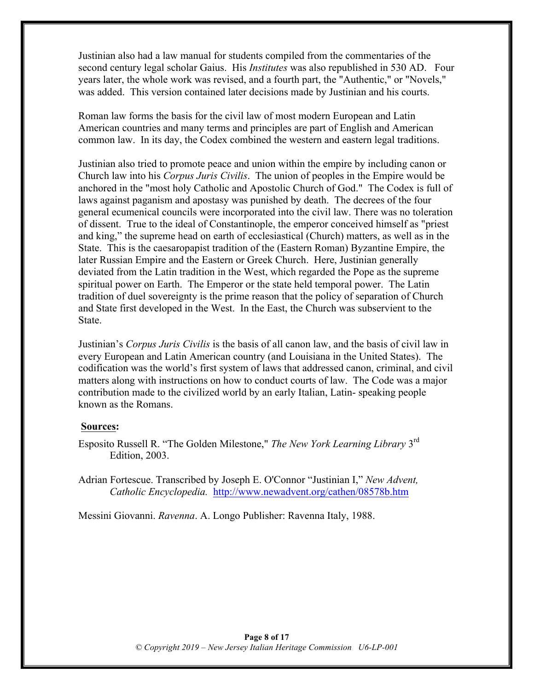Justinian also had a law manual for students compiled from the commentaries of the second century legal scholar Gaius. His *Institutes* was also republished in 530 AD. Four years later, the whole work was revised, and a fourth part, the "Authentic," or "Novels," was added. This version contained later decisions made by Justinian and his courts.

Roman law forms the basis for the civil law of most modern European and Latin American countries and many terms and principles are part of English and American common law. In its day, the Codex combined the western and eastern legal traditions.

Justinian also tried to promote peace and union within the empire by including canon or Church law into his *Corpus Juris Civilis*. The union of peoples in the Empire would be anchored in the "most holy Catholic and Apostolic Church of God." The Codex is full of laws against paganism and apostasy was punished by death. The decrees of the four general ecumenical councils were incorporated into the civil law. There was no toleration of dissent. True to the ideal of Constantinople, the emperor conceived himself as "priest and king," the supreme head on earth of ecclesiastical (Church) matters, as well as in the State. This is the caesaropapist tradition of the (Eastern Roman) Byzantine Empire, the later Russian Empire and the Eastern or Greek Church. Here, Justinian generally deviated from the Latin tradition in the West, which regarded the Pope as the supreme spiritual power on Earth. The Emperor or the state held temporal power. The Latin tradition of duel sovereignty is the prime reason that the policy of separation of Church and State first developed in the West. In the East, the Church was subservient to the **State** 

Justinian's *Corpus Juris Civilis* is the basis of all canon law, and the basis of civil law in every European and Latin American country (and Louisiana in the United States). The codification was the world's first system of laws that addressed canon, criminal, and civil matters along with instructions on how to conduct courts of law. The Code was a major contribution made to the civilized world by an early Italian, Latin- speaking people known as the Romans.

#### **Sources:**

Esposito Russell R. "The Golden Milestone," *The New York Learning Library* 3rd Edition, 2003.

Adrian Fortescue. Transcribed by Joseph E. O'Connor "Justinian I," *New Advent, Catholic Encyclopedia.* http://www.newadvent.org/cathen/08578b.htm

Messini Giovanni. *Ravenna*. A. Longo Publisher: Ravenna Italy, 1988.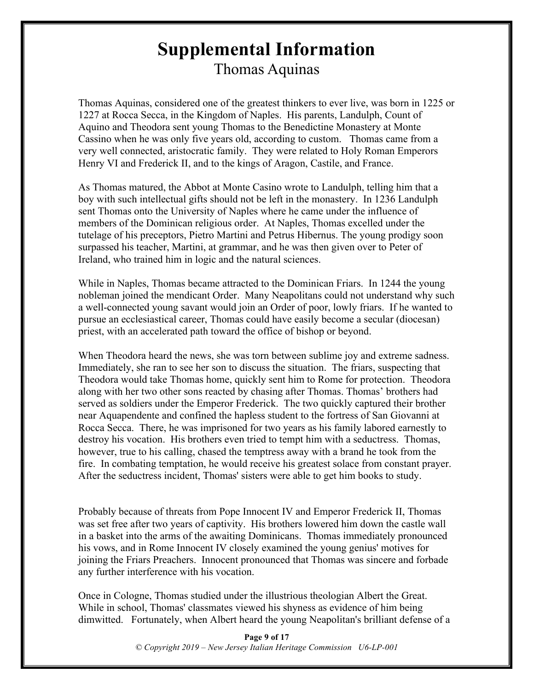# **Supplemental Information** Thomas Aquinas

Thomas Aquinas, considered one of the greatest thinkers to ever live, was born in 1225 or 1227 at Rocca Secca, in the Kingdom of Naples. His parents, Landulph, Count of Aquino and Theodora sent young Thomas to the Benedictine Monastery at Monte Cassino when he was only five years old, according to custom. Thomas came from a very well connected, aristocratic family. They were related to Holy Roman Emperors Henry VI and Frederick II, and to the kings of Aragon, Castile, and France.

As Thomas matured, the Abbot at Monte Casino wrote to Landulph, telling him that a boy with such intellectual gifts should not be left in the monastery. In 1236 Landulph sent Thomas onto the University of Naples where he came under the influence of members of the Dominican religious order. At Naples, Thomas excelled under the tutelage of his preceptors, Pietro Martini and Petrus Hibernus. The young prodigy soon surpassed his teacher, Martini, at grammar, and he was then given over to Peter of Ireland, who trained him in logic and the natural sciences.

While in Naples, Thomas became attracted to the Dominican Friars. In 1244 the young nobleman joined the mendicant Order. Many Neapolitans could not understand why such a well-connected young savant would join an Order of poor, lowly friars. If he wanted to pursue an ecclesiastical career, Thomas could have easily become a secular (diocesan) priest, with an accelerated path toward the office of bishop or beyond.

When Theodora heard the news, she was torn between sublime joy and extreme sadness. Immediately, she ran to see her son to discuss the situation. The friars, suspecting that Theodora would take Thomas home, quickly sent him to Rome for protection. Theodora along with her two other sons reacted by chasing after Thomas. Thomas' brothers had served as soldiers under the Emperor Frederick. The two quickly captured their brother near Aquapendente and confined the hapless student to the fortress of San Giovanni at Rocca Secca. There, he was imprisoned for two years as his family labored earnestly to destroy his vocation. His brothers even tried to tempt him with a seductress. Thomas, however, true to his calling, chased the temptress away with a brand he took from the fire. In combating temptation, he would receive his greatest solace from constant prayer. After the seductress incident, Thomas' sisters were able to get him books to study.

Probably because of threats from Pope Innocent IV and Emperor Frederick II, Thomas was set free after two years of captivity. His brothers lowered him down the castle wall in a basket into the arms of the awaiting Dominicans. Thomas immediately pronounced his vows, and in Rome Innocent IV closely examined the young genius' motives for joining the Friars Preachers. Innocent pronounced that Thomas was sincere and forbade any further interference with his vocation.

Once in Cologne, Thomas studied under the illustrious theologian Albert the Great. While in school, Thomas' classmates viewed his shyness as evidence of him being dimwitted. Fortunately, when Albert heard the young Neapolitan's brilliant defense of a

> **Page 9 of 17** *© Copyright 2019 – New Jersey Italian Heritage Commission U6-LP-001*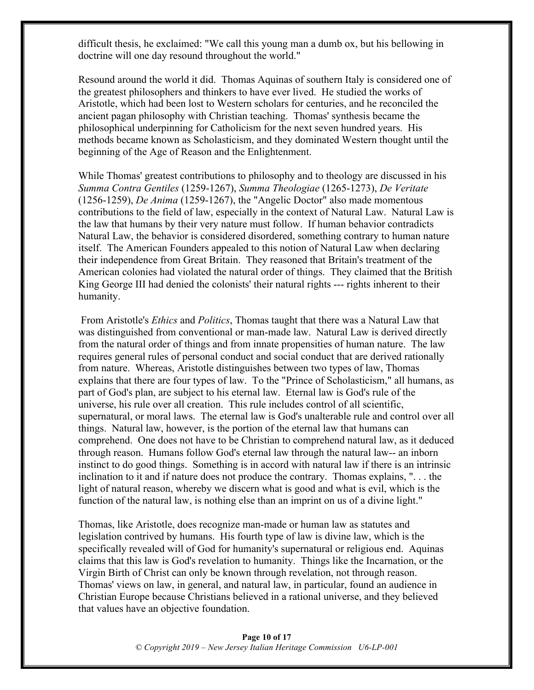difficult thesis, he exclaimed: "We call this young man a dumb ox, but his bellowing in doctrine will one day resound throughout the world."

Resound around the world it did. Thomas Aquinas of southern Italy is considered one of the greatest philosophers and thinkers to have ever lived. He studied the works of Aristotle, which had been lost to Western scholars for centuries, and he reconciled the ancient pagan philosophy with Christian teaching. Thomas' synthesis became the philosophical underpinning for Catholicism for the next seven hundred years. His methods became known as Scholasticism, and they dominated Western thought until the beginning of the Age of Reason and the Enlightenment.

While Thomas' greatest contributions to philosophy and to theology are discussed in his *Summa Contra Gentiles* (1259-1267), *Summa Theologiae* (1265-1273), *De Veritate* (1256-1259), *De Anima* (1259-1267), the "Angelic Doctor" also made momentous contributions to the field of law, especially in the context of Natural Law. Natural Law is the law that humans by their very nature must follow. If human behavior contradicts Natural Law, the behavior is considered disordered, something contrary to human nature itself. The American Founders appealed to this notion of Natural Law when declaring their independence from Great Britain. They reasoned that Britain's treatment of the American colonies had violated the natural order of things. They claimed that the British King George III had denied the colonists' their natural rights --- rights inherent to their humanity.

From Aristotle's *Ethics* and *Politics*, Thomas taught that there was a Natural Law that was distinguished from conventional or man-made law. Natural Law is derived directly from the natural order of things and from innate propensities of human nature. The law requires general rules of personal conduct and social conduct that are derived rationally from nature. Whereas, Aristotle distinguishes between two types of law, Thomas explains that there are four types of law. To the "Prince of Scholasticism," all humans, as part of God's plan, are subject to his eternal law. Eternal law is God's rule of the universe, his rule over all creation. This rule includes control of all scientific, supernatural, or moral laws. The eternal law is God's unalterable rule and control over all things. Natural law, however, is the portion of the eternal law that humans can comprehend. One does not have to be Christian to comprehend natural law, as it deduced through reason. Humans follow God's eternal law through the natural law-- an inborn instinct to do good things. Something is in accord with natural law if there is an intrinsic inclination to it and if nature does not produce the contrary. Thomas explains, ". . . the light of natural reason, whereby we discern what is good and what is evil, which is the function of the natural law, is nothing else than an imprint on us of a divine light."

Thomas, like Aristotle, does recognize man-made or human law as statutes and legislation contrived by humans. His fourth type of law is divine law, which is the specifically revealed will of God for humanity's supernatural or religious end. Aquinas claims that this law is God's revelation to humanity. Things like the Incarnation, or the Virgin Birth of Christ can only be known through revelation, not through reason. Thomas' views on law, in general, and natural law, in particular, found an audience in Christian Europe because Christians believed in a rational universe, and they believed that values have an objective foundation.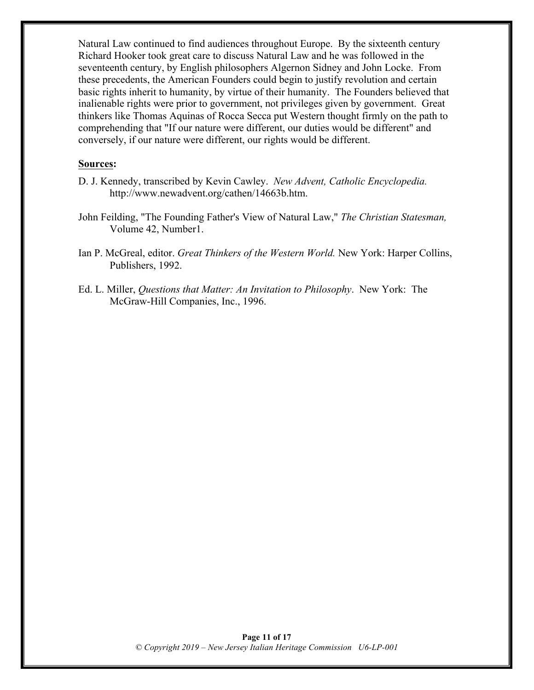Natural Law continued to find audiences throughout Europe. By the sixteenth century Richard Hooker took great care to discuss Natural Law and he was followed in the seventeenth century, by English philosophers Algernon Sidney and John Locke. From these precedents, the American Founders could begin to justify revolution and certain basic rights inherit to humanity, by virtue of their humanity. The Founders believed that inalienable rights were prior to government, not privileges given by government. Great thinkers like Thomas Aquinas of Rocca Secca put Western thought firmly on the path to comprehending that "If our nature were different, our duties would be different" and conversely, if our nature were different, our rights would be different.

#### **Sources:**

- D. J. Kennedy, transcribed by Kevin Cawley. *New Advent, Catholic Encyclopedia.* http://www.newadvent.org/cathen/14663b.htm.
- John Feilding, "The Founding Father's View of Natural Law," *The Christian Statesman,*  Volume 42, Number1.
- Ian P. McGreal, editor. *Great Thinkers of the Western World.* New York: Harper Collins, Publishers, 1992.
- Ed. L. Miller, *Questions that Matter: An Invitation to Philosophy*. New York: The McGraw-Hill Companies, Inc., 1996.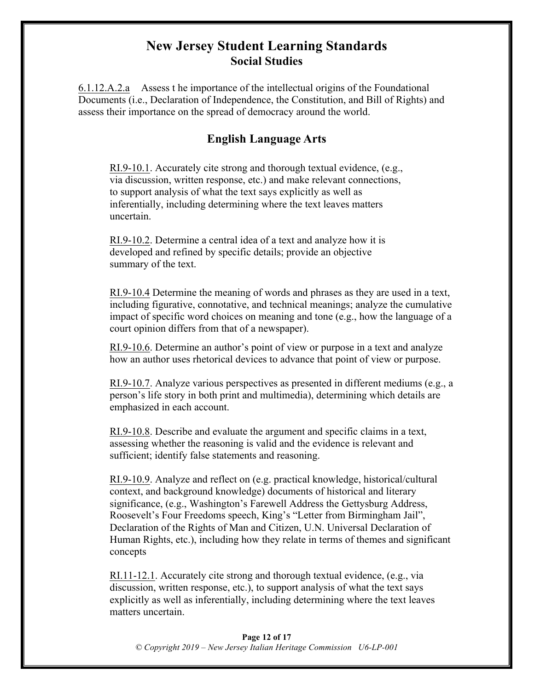# **New Jersey Student Learning Standards Social Studies**

6.1.12.A.2.a Assess t he importance of the intellectual origins of the Foundational Documents (i.e., Declaration of Independence, the Constitution, and Bill of Rights) and assess their importance on the spread of democracy around the world.

# **English Language Arts**

RI.9-10.1. Accurately cite strong and thorough textual evidence, (e.g., via discussion, written response, etc.) and make relevant connections, to support analysis of what the text says explicitly as well as inferentially, including determining where the text leaves matters uncertain.

RI.9-10.2. Determine a central idea of a text and analyze how it is developed and refined by specific details; provide an objective summary of the text.

RI.9-10.4 Determine the meaning of words and phrases as they are used in a text, including figurative, connotative, and technical meanings; analyze the cumulative impact of specific word choices on meaning and tone (e.g., how the language of a court opinion differs from that of a newspaper).

RI.9-10.6. Determine an author's point of view or purpose in a text and analyze how an author uses rhetorical devices to advance that point of view or purpose.

RI.9-10.7. Analyze various perspectives as presented in different mediums (e.g., a person's life story in both print and multimedia), determining which details are emphasized in each account.

RI.9-10.8. Describe and evaluate the argument and specific claims in a text, assessing whether the reasoning is valid and the evidence is relevant and sufficient; identify false statements and reasoning.

RI.9-10.9. Analyze and reflect on (e.g. practical knowledge, historical/cultural context, and background knowledge) documents of historical and literary significance, (e.g., Washington's Farewell Address the Gettysburg Address, Roosevelt's Four Freedoms speech, King's "Letter from Birmingham Jail", Declaration of the Rights of Man and Citizen, U.N. Universal Declaration of Human Rights, etc.), including how they relate in terms of themes and significant concepts

RI.11-12.1. Accurately cite strong and thorough textual evidence, (e.g., via discussion, written response, etc.), to support analysis of what the text says explicitly as well as inferentially, including determining where the text leaves matters uncertain.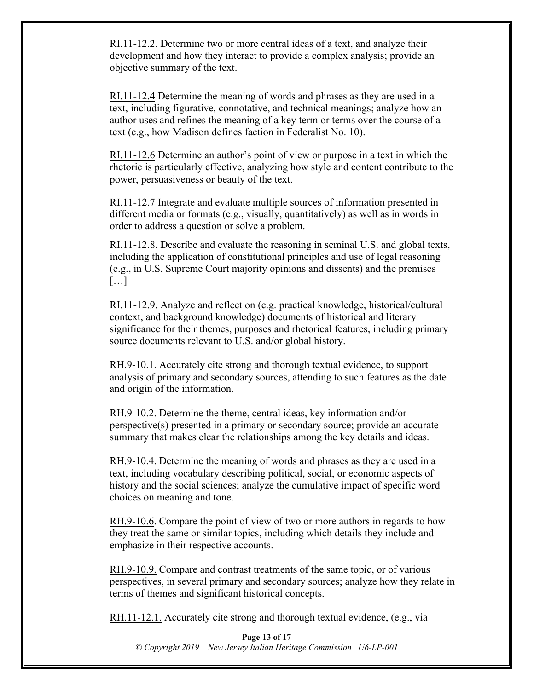RI.11-12.2. Determine two or more central ideas of a text, and analyze their development and how they interact to provide a complex analysis; provide an objective summary of the text.

RI.11-12.4 Determine the meaning of words and phrases as they are used in a text, including figurative, connotative, and technical meanings; analyze how an author uses and refines the meaning of a key term or terms over the course of a text (e.g., how Madison defines faction in Federalist No. 10).

RI.11-12.6 Determine an author's point of view or purpose in a text in which the rhetoric is particularly effective, analyzing how style and content contribute to the power, persuasiveness or beauty of the text.

RI.11-12.7 Integrate and evaluate multiple sources of information presented in different media or formats (e.g., visually, quantitatively) as well as in words in order to address a question or solve a problem.

RI.11-12.8. Describe and evaluate the reasoning in seminal U.S. and global texts, including the application of constitutional principles and use of legal reasoning (e.g., in U.S. Supreme Court majority opinions and dissents) and the premises […]

RI.11-12.9. Analyze and reflect on (e.g. practical knowledge, historical/cultural context, and background knowledge) documents of historical and literary significance for their themes, purposes and rhetorical features, including primary source documents relevant to U.S. and/or global history.

RH.9-10.1. Accurately cite strong and thorough textual evidence, to support analysis of primary and secondary sources, attending to such features as the date and origin of the information.

RH.9-10.2. Determine the theme, central ideas, key information and/or perspective(s) presented in a primary or secondary source; provide an accurate summary that makes clear the relationships among the key details and ideas.

RH.9-10.4. Determine the meaning of words and phrases as they are used in a text, including vocabulary describing political, social, or economic aspects of history and the social sciences; analyze the cumulative impact of specific word choices on meaning and tone.

RH.9-10.6. Compare the point of view of two or more authors in regards to how they treat the same or similar topics, including which details they include and emphasize in their respective accounts.

RH.9-10.9. Compare and contrast treatments of the same topic, or of various perspectives, in several primary and secondary sources; analyze how they relate in terms of themes and significant historical concepts.

RH.11-12.1. Accurately cite strong and thorough textual evidence, (e.g., via

**Page 13 of 17** *© Copyright 2019 – New Jersey Italian Heritage Commission U6-LP-001*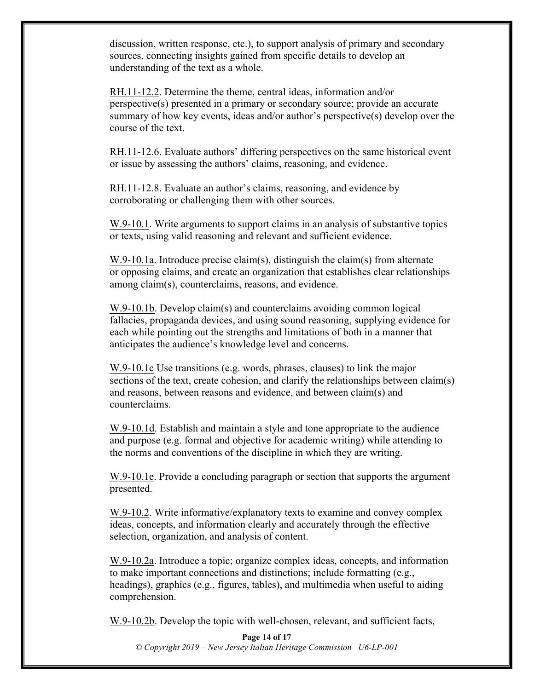discussion, written response, etc.), to support analysis of primary and secondary sources, connecting insights gained from specific details to develop an understanding of the text as a whole.

RH.11-12.2. Determine the theme, central ideas, information and/or perspective(s) presented in a primary or secondary source; provide an accurate summary of how key events, ideas and/or author's perspective(s) develop over the course of the text.

RH.11-12.6. Evaluate authors' differing perspectives on the same historical event or issue by assessing the authors' claims, reasoning, and evidence.

RH.11-12.8. Evaluate an author's claims, reasoning, and evidence by corroborating or challenging them with other sources.

W.9-10.1. Write arguments to support claims in an analysis of substantive topics or texts, using valid reasoning and relevant and sufficient evidence.

W.9-10.1a. Introduce precise claim(s), distinguish the claim(s) from alternate or opposing claims, and create an organization that establishes clear relationships among claim(s), counterclaims, reasons, and evidence.

W.9-10.1b. Develop claim(s) and counterclaims avoiding common logical fallacies, propaganda devices, and using sound reasoning, supplying evidence for each while pointing out the strengths and limitations of both in a manner that anticipates the audience's knowledge level and concerns.

W.9-10.1c Use transitions (e.g. words, phrases, clauses) to link the major sections of the text, create cohesion, and clarify the relationships between claim(s) and reasons, between reasons and evidence, and between claim(s) and counterclaims.

W.9-10.1d. Establish and maintain a style and tone appropriate to the audience and purpose (e.g. formal and objective for academic writing) while attending to the norms and conventions of the discipline in which they are writing.

W.9-10.1e. Provide a concluding paragraph or section that supports the argument presented.

W.9-10.2. Write informative/explanatory texts to examine and convey complex ideas, concepts, and information clearly and accurately through the effective selection, organization, and analysis of content.

W.9-10.2a. Introduce a topic; organize complex ideas, concepts, and information to make important connections and distinctions; include formatting (e.g., headings), graphics (e.g., figures, tables), and multimedia when useful to aiding comprehension.

W.9-10.2b. Develop the topic with well-chosen, relevant, and sufficient facts,

**Page 14 of 17** *© Copyright 2019 – New Jersey Italian Heritage Commission U6-LP-001*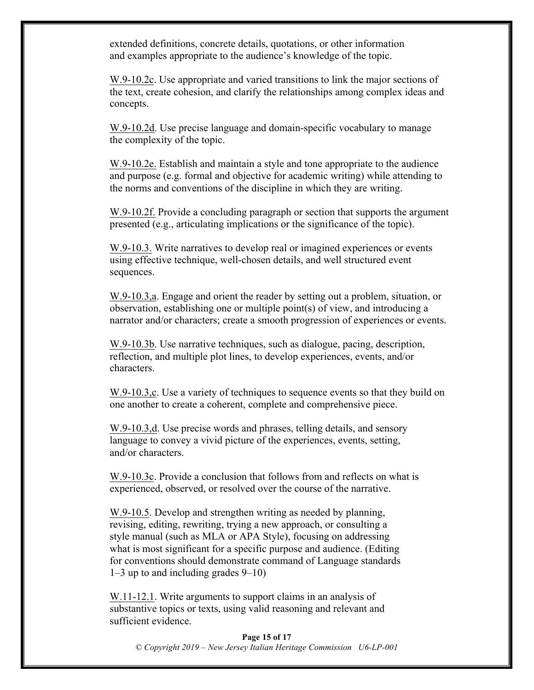extended definitions, concrete details, quotations, or other information and examples appropriate to the audience's knowledge of the topic.

W.9-10.2c. Use appropriate and varied transitions to link the major sections of the text, create cohesion, and clarify the relationships among complex ideas and concepts.

W.9-10.2d. Use precise language and domain-specific vocabulary to manage the complexity of the topic.

W.9-10.2e. Establish and maintain a style and tone appropriate to the audience and purpose (e.g. formal and objective for academic writing) while attending to the norms and conventions of the discipline in which they are writing.

W.9-10.2f. Provide a concluding paragraph or section that supports the argument presented (e.g., articulating implications or the significance of the topic).

W.9-10.3. Write narratives to develop real or imagined experiences or events using effective technique, well-chosen details, and well structured event sequences.

W.9-10.3,a. Engage and orient the reader by setting out a problem, situation, or observation, establishing one or multiple point(s) of view, and introducing a narrator and/or characters; create a smooth progression of experiences or events.

W.9-10.3b. Use narrative techniques, such as dialogue, pacing, description, reflection, and multiple plot lines, to develop experiences, events, and/or characters.

W.9-10.3, c. Use a variety of techniques to sequence events so that they build on one another to create a coherent, complete and comprehensive piece.

W.9-10.3,d. Use precise words and phrases, telling details, and sensory language to convey a vivid picture of the experiences, events, setting, and/or characters.

W.9-10.3c. Provide a conclusion that follows from and reflects on what is experienced, observed, or resolved over the course of the narrative.

W.9-10.5. Develop and strengthen writing as needed by planning, revising, editing, rewriting, trying a new approach, or consulting a style manual (such as MLA or APA Style), focusing on addressing what is most significant for a specific purpose and audience. (Editing for conventions should demonstrate command of Language standards 1–3 up to and including grades 9–10)

W.11-12.1. Write arguments to support claims in an analysis of substantive topics or texts, using valid reasoning and relevant and sufficient evidence.

**Page 15 of 17** *© Copyright 2019 – New Jersey Italian Heritage Commission U6-LP-001*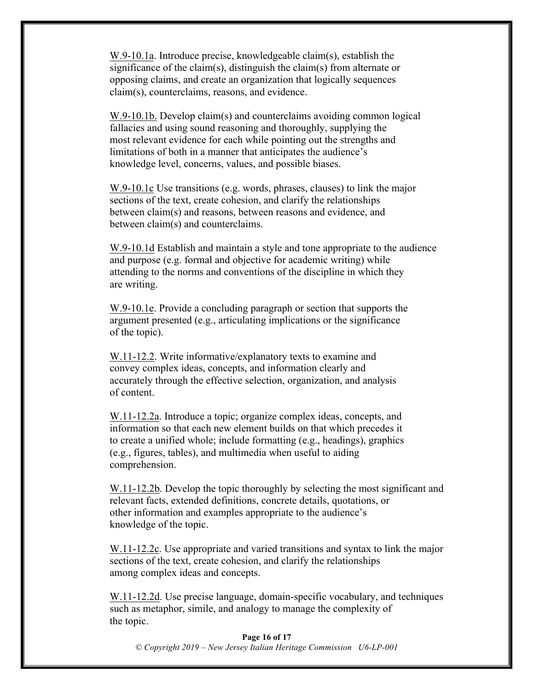W.9-10.1a. Introduce precise, knowledgeable claim(s), establish the significance of the claim(s), distinguish the claim(s) from alternate or opposing claims, and create an organization that logically sequences claim(s), counterclaims, reasons, and evidence.

W.9-10.1b. Develop claim(s) and counterclaims avoiding common logical fallacies and using sound reasoning and thoroughly, supplying the most relevant evidence for each while pointing out the strengths and limitations of both in a manner that anticipates the audience's knowledge level, concerns, values, and possible biases.

W.9-10.1c Use transitions (e.g. words, phrases, clauses) to link the major sections of the text, create cohesion, and clarify the relationships between claim(s) and reasons, between reasons and evidence, and between claim(s) and counterclaims.

W.9-10.1d Establish and maintain a style and tone appropriate to the audience and purpose (e.g. formal and objective for academic writing) while attending to the norms and conventions of the discipline in which they are writing.

W.9-10.1e. Provide a concluding paragraph or section that supports the argument presented (e.g., articulating implications or the significance of the topic).

W.11-12.2. Write informative/explanatory texts to examine and convey complex ideas, concepts, and information clearly and accurately through the effective selection, organization, and analysis of content.

W.11-12.2a. Introduce a topic; organize complex ideas, concepts, and information so that each new element builds on that which precedes it to create a unified whole; include formatting (e.g., headings), graphics (e.g., figures, tables), and multimedia when useful to aiding comprehension.

W.11-12.2b. Develop the topic thoroughly by selecting the most significant and relevant facts, extended definitions, concrete details, quotations, or other information and examples appropriate to the audience's knowledge of the topic.

W.11-12.2c. Use appropriate and varied transitions and syntax to link the major sections of the text, create cohesion, and clarify the relationships among complex ideas and concepts.

W.11-12.2d. Use precise language, domain-specific vocabulary, and techniques such as metaphor, simile, and analogy to manage the complexity of the topic.

**Page 16 of 17** *© Copyright 2019 – New Jersey Italian Heritage Commission U6-LP-001*